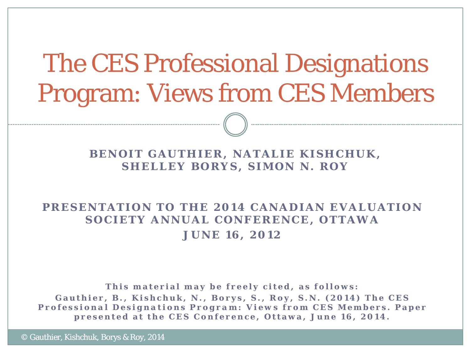# The CES Professional Designations Program: Views from CES Members

#### **BENOIT GAUTHIER, NATALIE KISHCHUK , SHELLEY BORYS, SIMON N. ROY**

#### **PRESENTATION TO THE 2014 CANADIAN EVALUATION SOCIETY ANNUAL CONFERENCE, OTTAWA JUNE 16, 2012**

**This material may be freely cited, as follows: Gauthier, B., Kishchuk, N., Borys, S., Roy, S.N. (2014)** *The CES Professional Designations Program: Views from CES Members* **. Paper presented at the CES Conference, Ottawa, June 16, 2014.**

© Gauthier, Kishchuk, Borys & Roy, 2014 Borys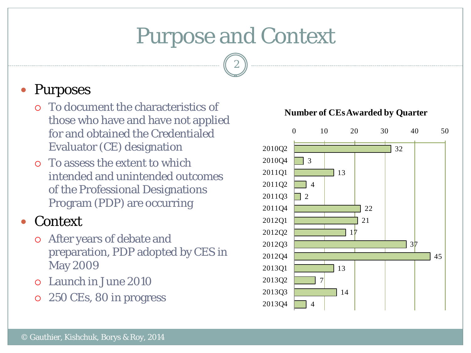### Purpose and Context

2

#### Purposes

- To document the characteristics of those who have and have not applied for and obtained the Credentialed Evaluator (CE) designation
- To assess the extent to which intended and unintended outcomes of the Professional Designations Program (PDP) are occurring

#### Context

- After years of debate and preparation, PDP adopted by CES in May 2009
- Launch in June 2010
- 250 CEs, 80 in progress



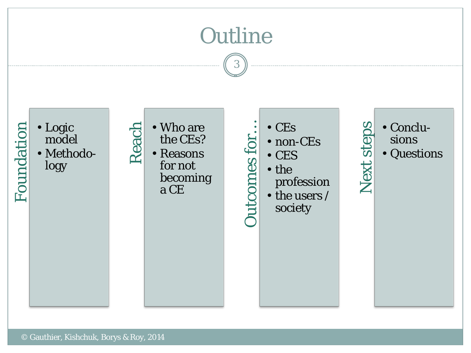# **Outline**

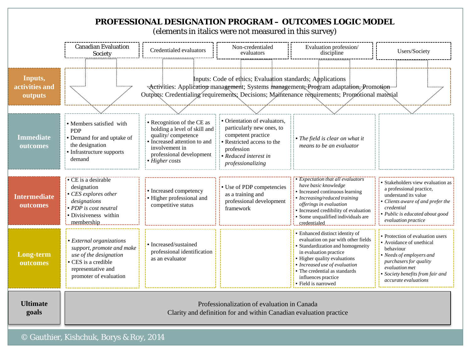#### **PROFESSIONAL DESIGNATION PROGRAM – OUTCOMES LOGIC MODEL**

(elements in italics were not measured in this survey)

|                                      | <b>Canadian Evaluation</b><br>Society                                                                                                                                                                                                                    | Credentialed evaluators                                                                                                                                                          | Non-credentialed<br>evaluators                                                                                                                                            | Evaluation profession/<br>discipline                                                                                                                                                                                                                                                  | Users/Society                                                                                                                                                                                                 |  |  |  |
|--------------------------------------|----------------------------------------------------------------------------------------------------------------------------------------------------------------------------------------------------------------------------------------------------------|----------------------------------------------------------------------------------------------------------------------------------------------------------------------------------|---------------------------------------------------------------------------------------------------------------------------------------------------------------------------|---------------------------------------------------------------------------------------------------------------------------------------------------------------------------------------------------------------------------------------------------------------------------------------|---------------------------------------------------------------------------------------------------------------------------------------------------------------------------------------------------------------|--|--|--|
| Inputs,<br>activities and<br>outputs | Inputs: Code of ethics; Evaluation standards; Applications<br>"Activities: Application management; Systems management; Program adaptation, Promotion""<br>Outputs: Credentialing requirements; Decisions; Maintenance requirements; Promotional material |                                                                                                                                                                                  |                                                                                                                                                                           |                                                                                                                                                                                                                                                                                       |                                                                                                                                                                                                               |  |  |  |
| <b>Immediate</b><br>outcomes         | · Members satisfied with<br><b>PDP</b><br>• Demand for and uptake of<br>the designation<br>• Infrastructure supports<br>demand                                                                                                                           | • Recognition of the CE as<br>holding a level of skill and<br>quality/competence<br>• Increased attention to and<br>involvement in<br>professional development<br>• Higher costs | • Orientation of evaluators.<br>particularly new ones, to<br>competent practice<br>• Restricted access to the<br>profession<br>• Reduced interest in<br>professionalizing | • The field is clear on what it<br>means to be an evaluator                                                                                                                                                                                                                           |                                                                                                                                                                                                               |  |  |  |
| <b>Intermediate</b><br>outcomes      | $\bullet$ CE is a desirable<br>designation<br>• CES explores other<br>designations<br>• PDP is cost neutral<br>· Divisiveness within<br>membership                                                                                                       | • Increased competency<br>• Higher professional and<br>competitive status                                                                                                        | • Use of PDP competencies<br>as a training and<br>professional development<br>framework                                                                                   | • Expectation that all evaluators<br>have basic knowledge<br>• Increased continuous learning<br>• Increasing/reduced training<br>offerings in evaluation<br>• Increased credibility of evaluation<br>• Some unqualified individuals are<br>credentialed                               | • Stakeholders view evaluation as<br>a professional practice,<br>understand its value<br>• Clients aware of and prefer the<br>credential<br>• Public is educated about good<br>evaluation practice            |  |  |  |
| <b>Long-term</b><br>outcomes         | • External organizations<br>support, promote and make<br>use of the designation<br>• CES is a credible<br>representative and<br>promoter of evaluation                                                                                                   | • Increased/sustained<br>professional identification<br>as an evaluator                                                                                                          |                                                                                                                                                                           | • Enhanced distinct identity of<br>evaluation on par with other fields<br>• Standardization and homogeneity<br>in evaluation practice<br>• Higher quality evaluations<br>• Increased use of evaluation<br>• The credential as standards<br>influences practice<br>• Field is narrowed | • Protection of evaluation users<br>• Avoidance of unethical<br>behaviour<br>• Needs of employers and<br>purchasers for quality<br>evaluation met<br>• Society benefits from fair and<br>accurate evaluations |  |  |  |
| <b>Ultimate</b><br>goals             |                                                                                                                                                                                                                                                          |                                                                                                                                                                                  | Professionalization of evaluation in Canada<br>Clarity and definition for and within Canadian evaluation practice                                                         |                                                                                                                                                                                                                                                                                       |                                                                                                                                                                                                               |  |  |  |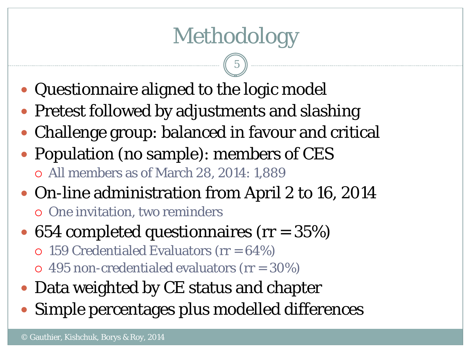- Questionnaire aligned to the logic model
- Pretest followed by adjustments and slashing
- Challenge group: balanced in favour and critical
- Population (no sample): members of CES All members as of March 28, 2014: 1,889
- On-line administration from April 2 to 16, 2014
	- One invitation, two reminders
- 654 completed questionnaires ( $rr = 35\%)$ 
	- $\circ$  159 Credentialed Evaluators (rr = 64%)
	- $\circ$  495 non-credentialed evaluators (rr = 30%)
- Data weighted by CE status and chapter
- Simple percentages plus modelled differences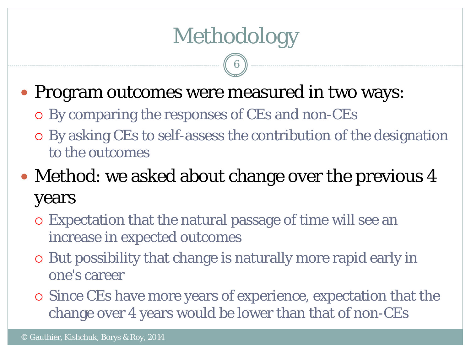## Methodology

6

- Program outcomes were measured in two ways:
	- By comparing the responses of CEs and non-CEs
	- By asking CEs to self-assess the contribution of the designation to the outcomes

#### • Method: we asked about change over the previous 4 years

- Expectation that the natural passage of time will see an increase in expected outcomes
- But possibility that change is naturally more rapid early in one's career
- Since CEs have more years of experience, expectation that the change over 4 years would be lower than that of non-CEs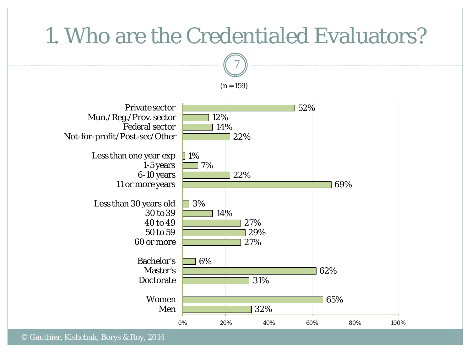![](_page_6_Figure_0.jpeg)

© Gauthier, Kishchuk, Borys & Roy, 2014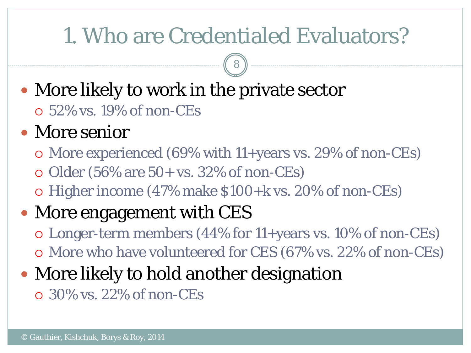### 1. Who are Credentialed Evaluators?

8

 More likely to work in the private sector 52% vs. 19% of non-CEs

#### • More senior

- More experienced (69% with 11+years vs. 29% of non-CEs)
- $\circ$  Older (56% are 50+ vs. 32% of non-CEs)
- Higher income (47% make \$100+k vs. 20% of non-CEs)

#### • More engagement with CES

- Longer-term members (44% for 11+years vs. 10% of non-CEs) More who have volunteered for CES (67% vs. 22% of non-CEs)
- More likely to hold another designation
	- 30% vs. 22% of non-CEs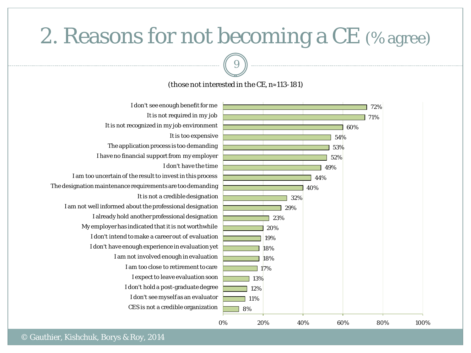### 2. Reasons for not becoming a CE (% agree)

#### (those not interested in the CE, n≈113-181)

![](_page_8_Figure_2.jpeg)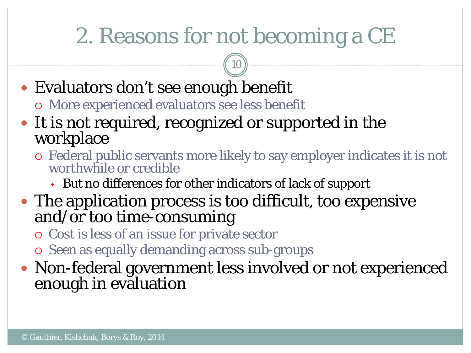### 2. Reasons for not becoming a CE

- Evaluators don't see enough benefit
	- More experienced evaluators see less benefit
- It is not required, recognized or supported in the workplace
	- Federal public servants more likely to say employer indicates it is not worthwhile or credible
		- But no differences for other indicators of lack of support
- The application process is too difficult, too expensive and/or too time-consuming
	- Cost is less of an issue for private sector
	- o Seen as equally demanding across sub-groups
- Non-federal government less involved or not experienced enough in evaluation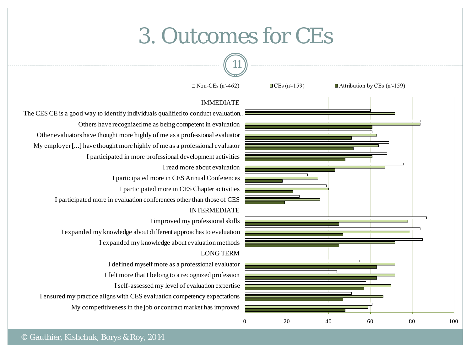#### 3. Outcomes for CEs

![](_page_10_Figure_1.jpeg)

 $\Box$ Non-CEs (n≈462)  $\Box$ CEs (n≈159)  $\Box$  Attribution by CEs (n≈159)

![](_page_10_Figure_5.jpeg)

![](_page_10_Figure_6.jpeg)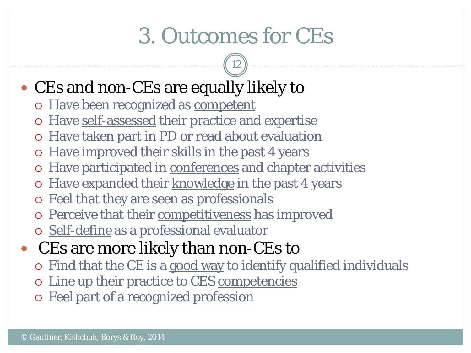### 3. Outcomes for CEs

12

#### • CEs and non-CEs are equally likely to

- o Have been recognized as competent
- o Have self-assessed their practice and expertise
- o Have taken part in PD or read about evaluation
- o Have improved their skills in the past 4 years
- o Have participated in conferences and chapter activities
- o Have expanded their knowledge in the past 4 years
- Feel that they are seen as professionals
- o Perceive that their competitiveness has improved
- o Self-define as a professional evaluator
- CEs are more likely than non-CEs to
	- Find that the CE is a good way to identify qualified individuals
	- Line up their practice to CES competencies
	- Feel part of a recognized profession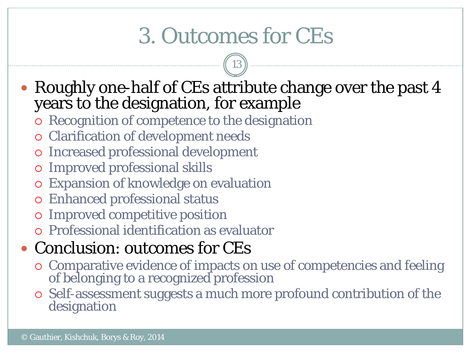### 3. Outcomes for CEs

13

• Roughly one-half of CEs attribute change over the past 4 years to the designation, for example

- Recognition of competence to the designation
- Clarification of development needs
- Increased professional development
- Improved professional skills
- Expansion of knowledge on evaluation
- Enhanced professional status
- Improved competitive position
- Professional identification as evaluator
- Conclusion: outcomes for CEs
	- Comparative evidence of impacts on use of competencies and feeling of belonging to a recognized profession
	- Self-assessment suggests a much more profound contribution of the designation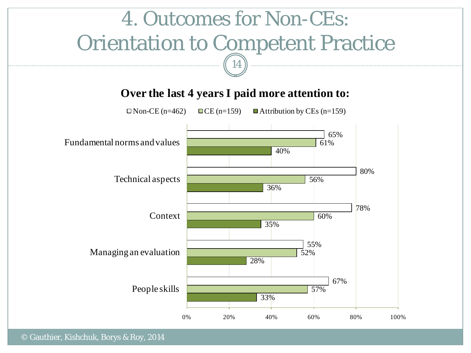![](_page_13_Figure_0.jpeg)

© Gauthier, Kishchuk, Borys & Roy, 2014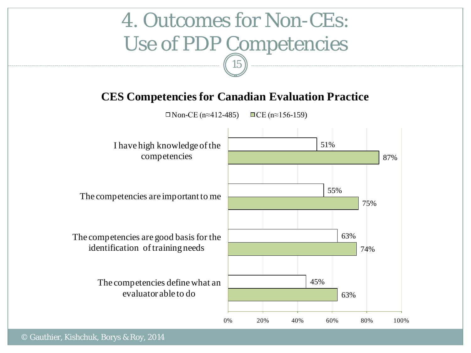#### 4. Outcomes for Non-CEs: Use of PDP Competencies 15

#### **CES Competencies for Canadian Evaluation Practice**

 $\Box$  Non-CE (n≈412-485)  $\Box$  CE (n≈156-159)

![](_page_14_Figure_3.jpeg)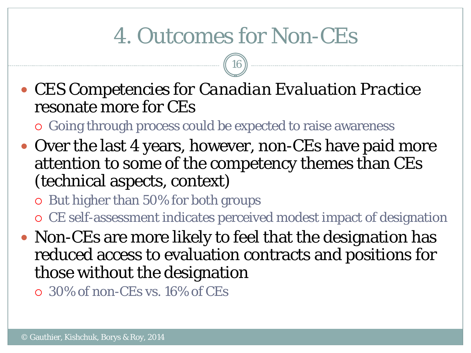### 4. Outcomes for Non-CEs

16

 *CES Competencies for Canadian Evaluation Practice* resonate more for CEs

Going through process could be expected to raise awareness

- Over the last 4 years, however, non-CEs have paid more attention to some of the competency themes than CEs (technical aspects, context)
	- o But higher than 50% for both groups
	- CE self-assessment indicates perceived modest impact of designation
- Non-CEs are more likely to feel that the designation has reduced access to evaluation contracts and positions for those without the designation

30% of non-CEs vs. 16% of CEs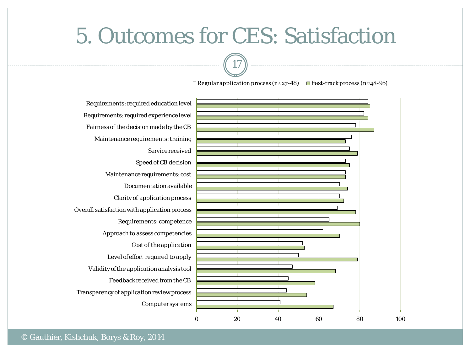#### 5. Outcomes for CES: Satisfaction

17

Regular application process (n≈27-48) Fast-track process (n≈48-95)

![](_page_16_Figure_2.jpeg)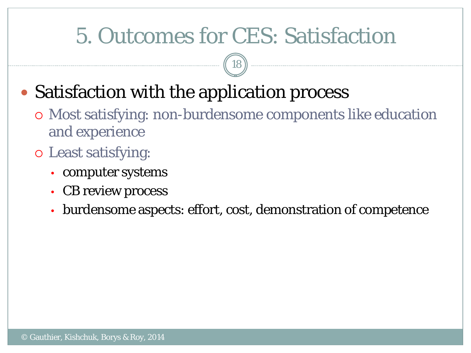### 5. Outcomes for CES: Satisfaction

18

#### • Satisfaction with the application process

 Most satisfying: non-burdensome components like education and experience

#### Least satisfying:

- computer systems
- CB review process
- burdensome aspects: effort, cost, demonstration of competence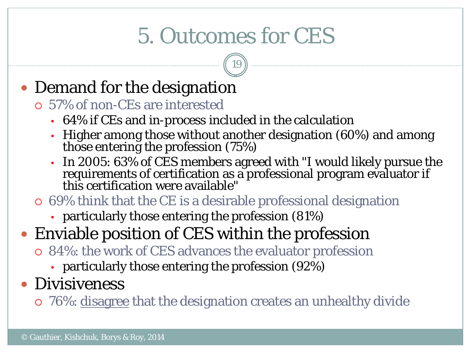### 5. Outcomes for CES

19

#### • Demand for the designation

57% of non-CEs are interested

- 64% if CEs and in-process included in the calculation
- Higher among those without another designation (60%) and among those entering the profession (75%)
- In 2005: 63% of CES members agreed with "I would likely pursue the requirements of certification as a professional program evaluator if this certification were available"
- 69% think that the CE is a desirable professional designation
	- particularly those entering the profession (81%)
- Enviable position of CES within the profession
	- 84%: the work of CES advances the evaluator profession
		- particularly those entering the profession (92%)
- **Divisiveness**

76%: disagree that the designation creates an unhealthy divide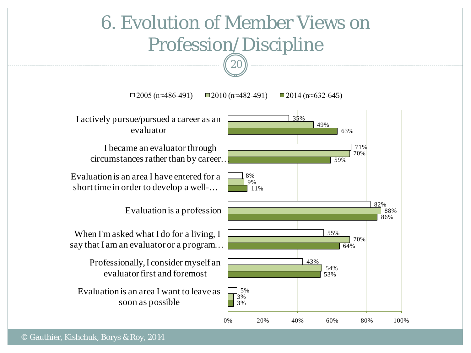#### 6. Evolution of Member Views on Profession/Discipline

20

 $\Box$ 2005 (n≈486-491)  $\Box$ 2010 (n≈482-491)  $\Box$ 2014 (n≈632-645)

I actively pursue/pursued a career as an evaluator

I became an evaluator through circumstances rather than by career.

Evaluation is an area I have entered for a short time in order to develop a well-…

Evaluation is a profession

When I'm asked what I do for a living, I say that I am an evaluator or a program...

> Professionally, I consider myself an evaluator first and foremost

Evaluation is an area I want to leave as soon as possible

![](_page_19_Figure_10.jpeg)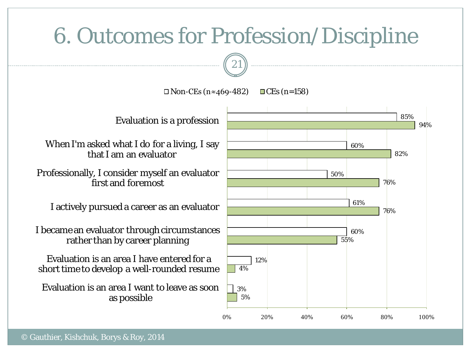![](_page_20_Figure_1.jpeg)

 $\Box$  Non-CEs (n≈469-482)  $\Box$  CEs (n=158)

Evaluation is a profession

When I'm asked what I do for a living, I say that I am an evaluator

Professionally, I consider myself an evaluator first and foremost

I actively pursued a career as an evaluator

I became an evaluator through circumstances rather than by career planning

Evaluation is an area I have entered for a short time to develop a well-rounded resume

Evaluation is an area I want to leave as soon as possible

![](_page_20_Figure_10.jpeg)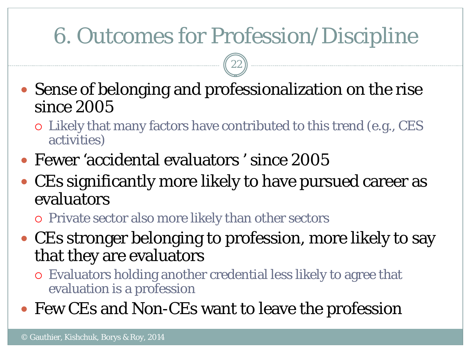- Sense of belonging and professionalization on the rise since 2005
	- Likely that many factors have contributed to this trend (e.g., CES activities)
- Fewer 'accidental evaluators ' since 2005
- CEs significantly more likely to have pursued career as evaluators
	- Private sector also more likely than other sectors
- CEs stronger belonging to profession, more likely to say that they are evaluators
	- Evaluators holding another credential less likely to agree that evaluation is a profession
- Few CEs and Non-CEs want to leave the profession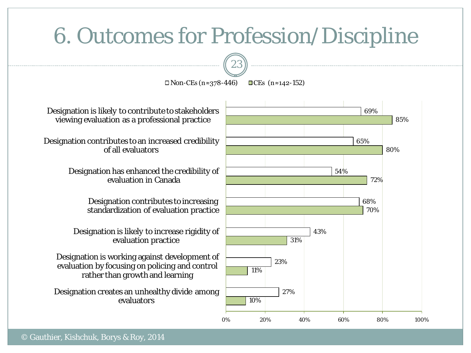![](_page_22_Figure_1.jpeg)

Non-CEs (n≈378-446) CEs (n≈142-152)

![](_page_22_Figure_3.jpeg)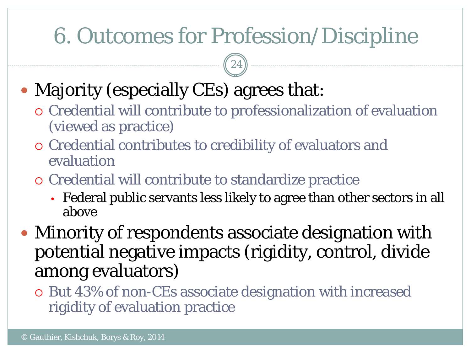24

### • Majority (especially CEs) agrees that:

- Credential will contribute to professionalization of evaluation (viewed as practice)
- Credential contributes to credibility of evaluators and evaluation
- Credential will contribute to standardize practice
	- Federal public servants less likely to agree than other sectors in all above
- Minority of respondents associate designation with potential negative impacts (rigidity, control, divide among evaluators)

 But 43% of non-CEs associate designation with increased rigidity of evaluation practice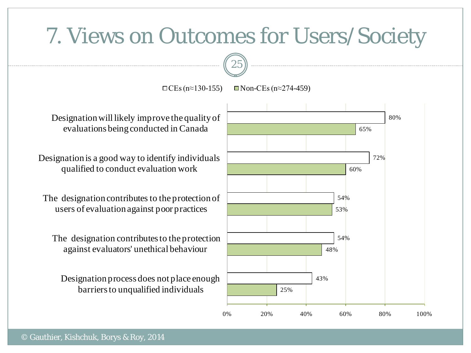### 7. Views on Outcomes for Users/Society

![](_page_24_Figure_1.jpeg)

 $CES (n \approx 130-155)$  Non-CEs ( $n \approx 274-459$ )

Designation will likely improve the quality of evaluations being conducted in Canada

Designation is a good way to identify individuals qualified to conduct evaluation work

The designation contributes to the protection of users of evaluation against poor practices

The designation contributes to the protection against evaluators' unethical behaviour

Designation process does not place enough barriers to unqualified individuals

![](_page_24_Figure_8.jpeg)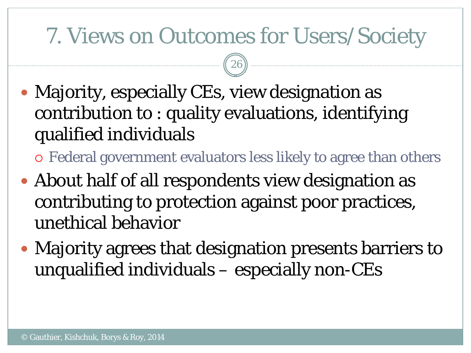### 7. Views on Outcomes for Users/Society

- Majority, especially CEs, view designation as contribution to : quality evaluations, identifying qualified individuals
	- Federal government evaluators less likely to agree than others
- About half of all respondents view designation as contributing to protection against poor practices, unethical behavior
- Majority agrees that designation presents barriers to unqualified individuals – especially non-CEs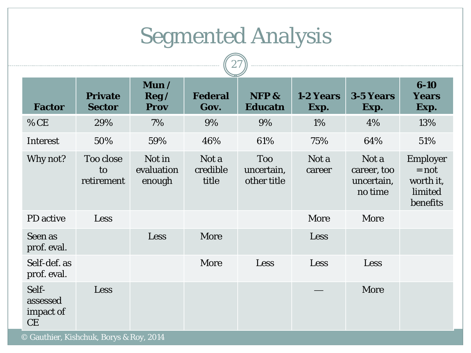# Segmented Analysis

27

| <b>Factor</b>                               | <b>Private</b><br><b>Sector</b> | Mun /<br>$\text{Reg }$<br><b>Prov</b> | <b>Federal</b><br>Gov.     | NFP &<br><b>Educatn</b>                 | 1-2 Years<br>Exp. | <b>3-5 Years</b><br>Exp.                      | $6 - 10$<br><b>Years</b><br>Exp.                        |
|---------------------------------------------|---------------------------------|---------------------------------------|----------------------------|-----------------------------------------|-------------------|-----------------------------------------------|---------------------------------------------------------|
| $%$ CE                                      | 29%                             | 7%                                    | 9%                         | 9%                                      | 1%                | 4%                                            | 13%                                                     |
| <b>Interest</b>                             | 50%                             | 59%                                   | 46%                        | 61%                                     | 75%               | 64%                                           | 51%                                                     |
| Why not?                                    | Too close<br>to<br>retirement   | Not in<br>evaluation<br>enough        | Not a<br>credible<br>title | <b>Too</b><br>uncertain,<br>other title | Not a<br>career   | Not a<br>career, too<br>uncertain,<br>no time | Employer<br>$=$ not<br>worth it,<br>limited<br>benefits |
| PD active                                   | Less                            |                                       |                            |                                         | More              | More                                          |                                                         |
| Seen as<br>prof. eval.                      |                                 | Less                                  | More                       |                                         | Less              |                                               |                                                         |
| Self-def. as<br>prof. eval.                 |                                 |                                       | More                       | Less                                    | Less              | Less                                          |                                                         |
| Self-<br>assessed<br>impact of<br><b>CE</b> | Less                            |                                       |                            |                                         |                   | More                                          |                                                         |

© Gauthier, Kishchuk, Borys & Roy, 2014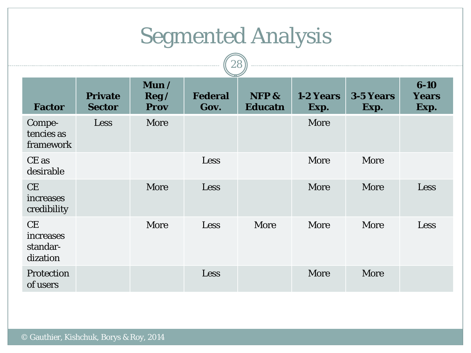### Segmented Analysis

 $\boxed{28}$ 

|                                         |                                 | Mun/                | $\sim$                 |                         |                   |                   | $6 - 10$             |
|-----------------------------------------|---------------------------------|---------------------|------------------------|-------------------------|-------------------|-------------------|----------------------|
| <b>Factor</b>                           | <b>Private</b><br><b>Sector</b> | Reg/<br><b>Prov</b> | <b>Federal</b><br>Gov. | NFP &<br><b>Educatn</b> | 1-2 Years<br>Exp. | 3-5 Years<br>Exp. | <b>Years</b><br>Exp. |
| Compe-<br>tencies as<br>framework       | Less                            | More                |                        |                         | More              |                   |                      |
| $CE$ as<br>desirable                    |                                 |                     | Less                   |                         | More              | More              |                      |
| CE<br>increases<br>credibility          |                                 | More                | <b>Less</b>            |                         | <b>More</b>       | More              | Less                 |
| CE<br>increases<br>standar-<br>dization |                                 | More                | Less                   | More                    | More              | More              | <b>Less</b>          |
| Protection<br>of users                  |                                 |                     | Less                   |                         | <b>More</b>       | <b>More</b>       |                      |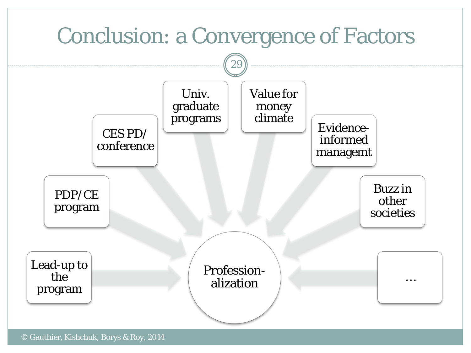![](_page_28_Figure_0.jpeg)

© Gauthier, Kishchuk, Borys & Roy, 2014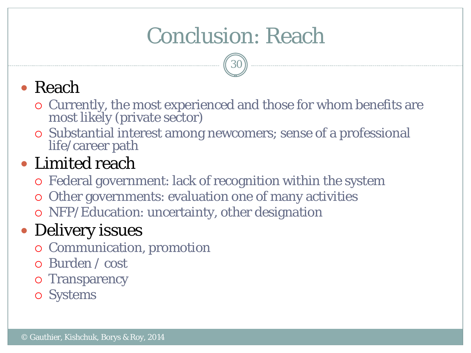# Conclusion: Reach

30

#### Reach

- Currently, the most experienced and those for whom benefits are most likely (private sector)
- Substantial interest among newcomers; sense of a professional life/career path

#### Limited reach

- Federal government: lack of recognition within the system
- Other governments: evaluation one of many activities
- NFP/Education: uncertainty, other designation

#### • Delivery issues

- o Communication, promotion
- Burden / cost
- o Transparency
- Systems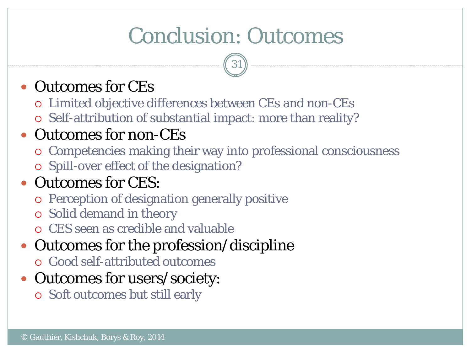### Conclusion: Outcomes

31

#### • Outcomes for CEs

- Limited objective differences between CEs and non-CEs
- Self-attribution of substantial impact: more than reality?

#### • Outcomes for non-CEs

- Competencies making their way into professional consciousness
- o Spill-over effect of the designation?

#### • Outcomes for CES:

- Perception of designation generally positive
- Solid demand in theory
- CES seen as credible and valuable
- Outcomes for the profession/discipline
	- Good self-attributed outcomes
- Outcomes for users/society:
	- Soft outcomes but still early